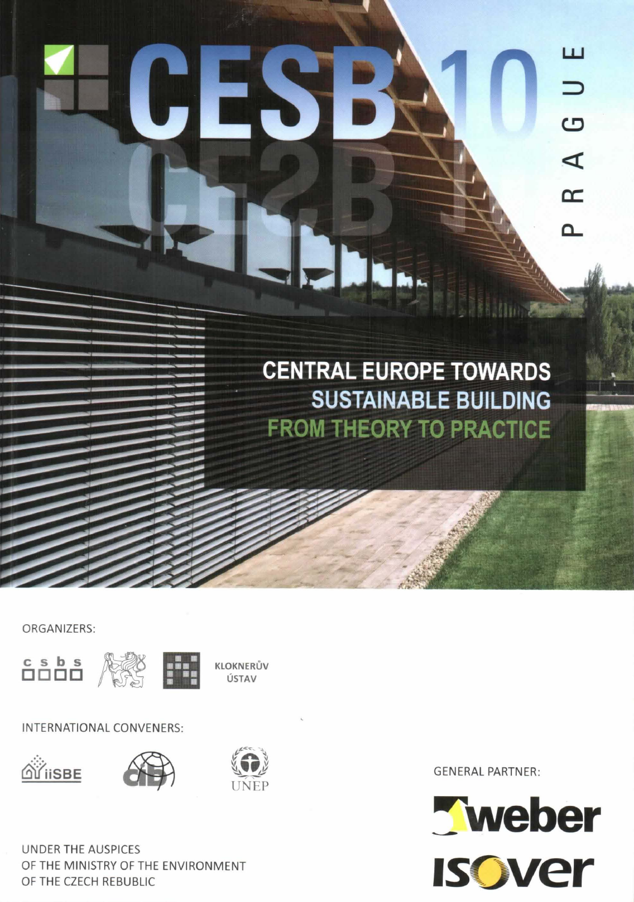# CES B Thu

**CENTRAL EUROPE TOWARDS SUSTAINABLE BUILDING FROM THEORY TO PRACTICE** 

ORGANIZERS:





KLOKNERŮV ÚSTAV

INTERNATIONAL CONVENERS:







**UNDER THE AUSPICES** OF THE MINISTRY OF THE ENVIRONMENT OF THE CZECH REBUBLIC

**GENERAL PARTNER:** 



ப

 $\overline{\phantom{0}}$ 

 $\overline{C}$ 

 $\blacktriangleleft$ 

 $\infty$ 

௨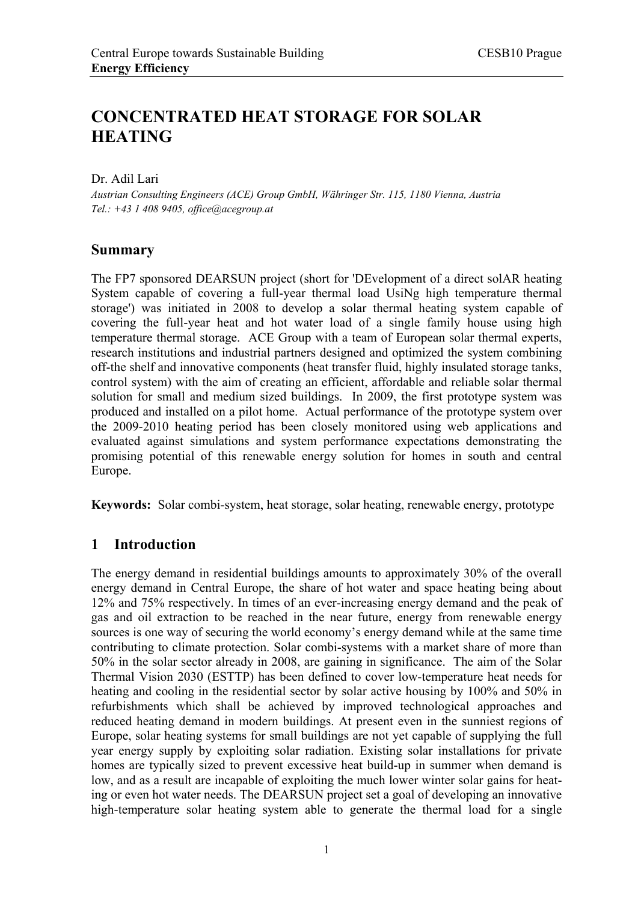# **CONCENTRATED HEAT STORAGE FOR SOLAR HEATING**

Dr. Adil Lari

*Austrian Consulting Engineers (ACE) Group GmbH, Währinger Str. 115, 1180 Vienna, Austria Tel.: +43 1 408 9405, office@acegroup.at* 

#### **Summary**

The FP7 sponsored DEARSUN project (short for 'DEvelopment of a direct solAR heating System capable of covering a full-year thermal load UsiNg high temperature thermal storage') was initiated in 2008 to develop a solar thermal heating system capable of covering the full-year heat and hot water load of a single family house using high temperature thermal storage. ACE Group with a team of European solar thermal experts, research institutions and industrial partners designed and optimized the system combining off-the shelf and innovative components (heat transfer fluid, highly insulated storage tanks, control system) with the aim of creating an efficient, affordable and reliable solar thermal solution for small and medium sized buildings. In 2009, the first prototype system was produced and installed on a pilot home. Actual performance of the prototype system over the 2009-2010 heating period has been closely monitored using web applications and evaluated against simulations and system performance expectations demonstrating the promising potential of this renewable energy solution for homes in south and central Europe.

**Keywords:** Solar combi-system, heat storage, solar heating, renewable energy, prototype

# **1 Introduction**

The energy demand in residential buildings amounts to approximately 30% of the overall energy demand in Central Europe, the share of hot water and space heating being about 12% and 75% respectively. In times of an ever-increasing energy demand and the peak of gas and oil extraction to be reached in the near future, energy from renewable energy sources is one way of securing the world economy's energy demand while at the same time contributing to climate protection. Solar combi-systems with a market share of more than 50% in the solar sector already in 2008, are gaining in significance. The aim of the Solar Thermal Vision 2030 (ESTTP) has been defined to cover low-temperature heat needs for heating and cooling in the residential sector by solar active housing by 100% and 50% in refurbishments which shall be achieved by improved technological approaches and reduced heating demand in modern buildings. At present even in the sunniest regions of Europe, solar heating systems for small buildings are not yet capable of supplying the full year energy supply by exploiting solar radiation. Existing solar installations for private homes are typically sized to prevent excessive heat build-up in summer when demand is low, and as a result are incapable of exploiting the much lower winter solar gains for heating or even hot water needs. The DEARSUN project set a goal of developing an innovative high-temperature solar heating system able to generate the thermal load for a single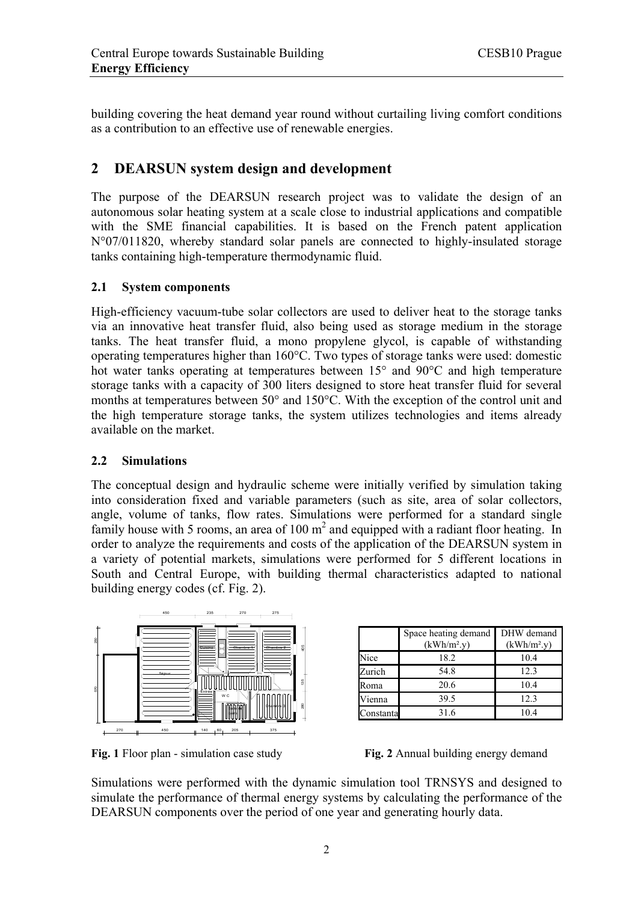building covering the heat demand year round without curtailing living comfort conditions as a contribution to an effective use of renewable energies.

# **2 DEARSUN system design and development**

The purpose of the DEARSUN research project was to validate the design of an autonomous solar heating system at a scale close to industrial applications and compatible with the SME financial capabilities. It is based on the French patent application N°07/011820, whereby standard solar panels are connected to highly-insulated storage tanks containing high-temperature thermodynamic fluid.

#### **2.1 System components**

High-efficiency vacuum-tube solar collectors are used to deliver heat to the storage tanks via an innovative heat transfer fluid, also being used as storage medium in the storage tanks. The heat transfer fluid, a mono propylene glycol, is capable of withstanding operating temperatures higher than 160°C. Two types of storage tanks were used: domestic hot water tanks operating at temperatures between 15° and 90°C and high temperature storage tanks with a capacity of 300 liters designed to store heat transfer fluid for several months at temperatures between 50° and 150°C. With the exception of the control unit and the high temperature storage tanks, the system utilizes technologies and items already available on the market.

#### **2.2 Simulations**

The conceptual design and hydraulic scheme were initially verified by simulation taking into consideration fixed and variable parameters (such as site, area of solar collectors, angle, volume of tanks, flow rates. Simulations were performed for a standard single family house with 5 rooms, an area of  $100 \text{ m}^2$  and equipped with a radiant floor heating. In order to analyze the requirements and costs of the application of the DEARSUN system in a variety of potential markets, simulations were performed for 5 different locations in South and Central Europe, with building thermal characteristics adapted to national building energy codes (cf. Fig. 2).



**Fig. 1** Floor plan - simulation case study **Fig. 2** Annual building energy demand

|           | Space heating demand<br>$(kWh/m^2.y)$ | DHW demand<br>$(kWh/m^2.y)$ |
|-----------|---------------------------------------|-----------------------------|
| Nice      | 18.2                                  | 10.4                        |
| Zurich    | 54.8                                  | 12.3                        |
| Roma      | 20.6                                  | 10.4                        |
| Vienna    | 39.5                                  | 12.3                        |
| Constanta | 31.6                                  | 10.4                        |

Simulations were performed with the dynamic simulation tool TRNSYS and designed to simulate the performance of thermal energy systems by calculating the performance of the DEARSUN components over the period of one year and generating hourly data.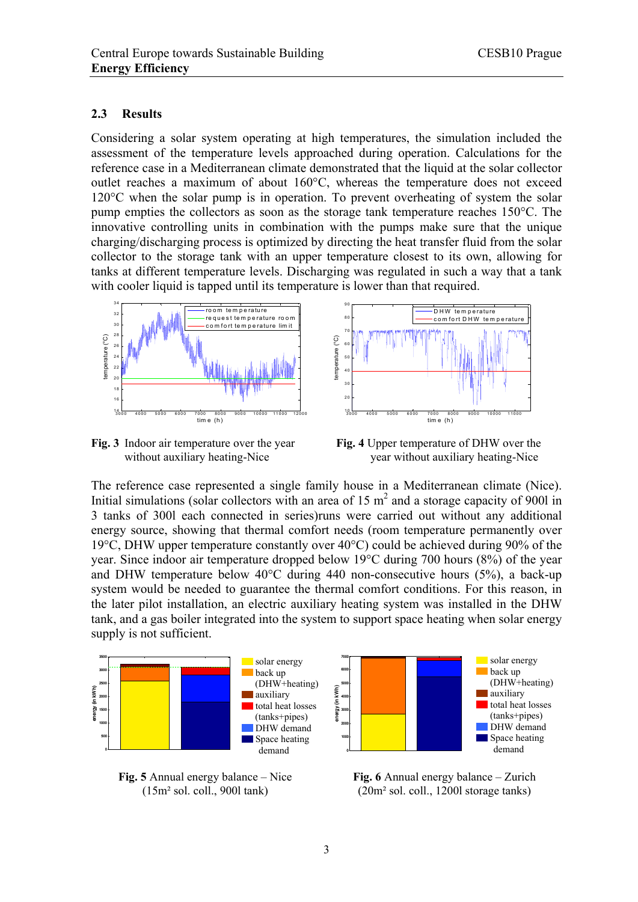#### **2.3 Results**

Considering a solar system operating at high temperatures, the simulation included the assessment of the temperature levels approached during operation. Calculations for the reference case in a Mediterranean climate demonstrated that the liquid at the solar collector outlet reaches a maximum of about 160°C, whereas the temperature does not exceed 120°C when the solar pump is in operation. To prevent overheating of system the solar pump empties the collectors as soon as the storage tank temperature reaches 150°C. The innovative controlling units in combination with the pumps make sure that the unique charging/discharging process is optimized by directing the heat transfer fluid from the solar collector to the storage tank with an upper temperature closest to its own, allowing for tanks at different temperature levels. Discharging was regulated in such a way that a tank with cooler liquid is tapped until its temperature is lower than that required.



**Fig. 3** Indoor air temperature over the year **Fig. 4** Upper temperature of DHW over the

without auxiliary heating-Nice year without auxiliary heating-Nice

The reference case represented a single family house in a Mediterranean climate (Nice). Initial simulations (solar collectors with an area of 15  $m<sup>2</sup>$  and a storage capacity of 9001 in 3 tanks of 300l each connected in series)runs were carried out without any additional energy source, showing that thermal comfort needs (room temperature permanently over 19°C, DHW upper temperature constantly over 40°C) could be achieved during 90% of the year. Since indoor air temperature dropped below 19°C during 700 hours (8%) of the year and DHW temperature below 40°C during 440 non-consecutive hours (5%), a back-up system would be needed to guarantee the thermal comfort conditions. For this reason, in the later pilot installation, an electric auxiliary heating system was installed in the DHW tank, and a gas boiler integrated into the system to support space heating when solar energy supply is not sufficient.



**Fig. 5** Annual energy balance – Nice (15m² sol. coll., 900l tank)